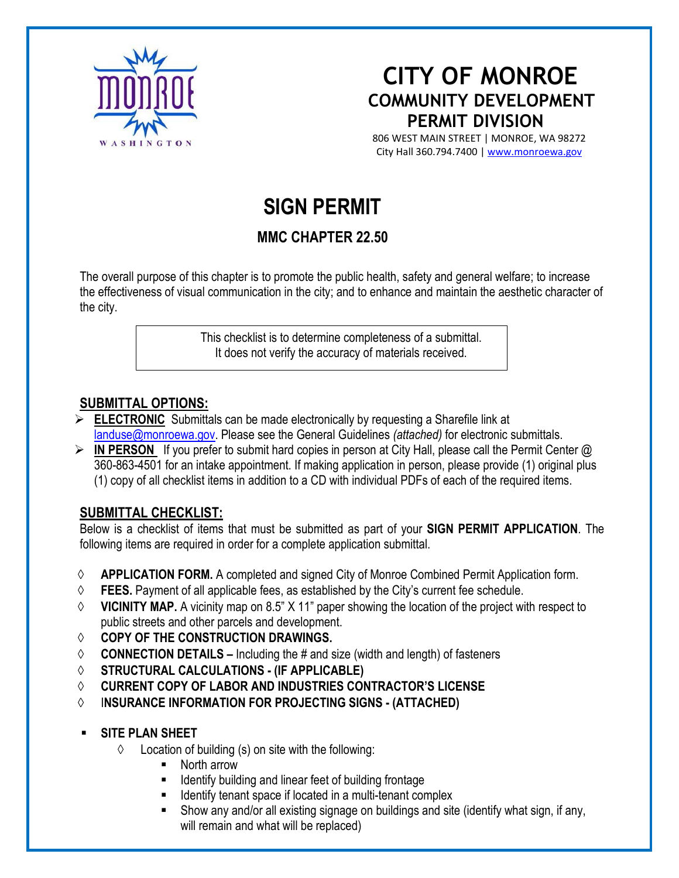

# **CITY OF MONROE**<br>COMMUNITY DEVELOPMENT  **PERMIT DIVISION**

WASHING TON 806 WEST MAIN STREET | MONROE, WA 98272 City Hall 360.794.7400 | [www.monroewa.gov](http://www.monroewa.gov/)

# **SIGN PERMIT**

## **MMC CHAPTER 22.50**

The overall purpose of this chapter is to promote the public health, safety and general welfare; to increase the effectiveness of visual communication in the city; and to enhance and maintain the aesthetic character of the city.

> This checklist is to determine completeness of a submittal. It does not verify the accuracy of materials received.

#### **SUBMITTAL OPTIONS:**

- **ELECTRONIC** Submittals can be made electronically by requesting a Sharefile link at [landuse@monroewa.gov.](mailto:landuse@monroewa.gov) Please see the General Guidelines *(attached)* for electronic submittals.
- **EXECT IN PERSON** If you prefer to submit hard copies in person at City Hall, please call the Permit Center @ 360-863-4501 for an intake appointment. If making application in person, please provide (1) original plus (1) copy of all checklist items in addition to a CD with individual PDFs of each of the required items.

#### **SUBMITTAL CHECKLIST:**

Below is a checklist of items that must be submitted as part of your **SIGN PERMIT APPLICATION**. The following items are required in order for a complete application submittal.

- ◊ **APPLICATION FORM.** A completed and signed City of Monroe Combined Permit Application form.
- ◊ **FEES.** Payment of all applicable fees, as established by the City's current fee schedule.
- ◊ **VICINITY MAP.** A vicinity map on 8.5" X 11" paper showing the location of the project with respect to public streets and other parcels and development.
- ◊ **COPY OF THE CONSTRUCTION DRAWINGS.**
- ◊ **CONNECTION DETAILS –** Including the # and size (width and length) of fasteners
- ◊ **STRUCTURAL CALCULATIONS - (IF APPLICABLE)**
- ◊ **CURRENT COPY OF LABOR AND INDUSTRIES CONTRACTOR'S LICENSE**
- ◊ I**NSURANCE INFORMATION FOR PROJECTING SIGNS - (ATTACHED)**
- **SITE PLAN SHEET**
	- $\Diamond$  Location of building (s) on site with the following:
		- North arrow
		- Identify building and linear feet of building frontage
		- Identify tenant space if located in a multi-tenant complex
		- Show any and/or all existing signage on buildings and site (identify what sign, if any, will remain and what will be replaced)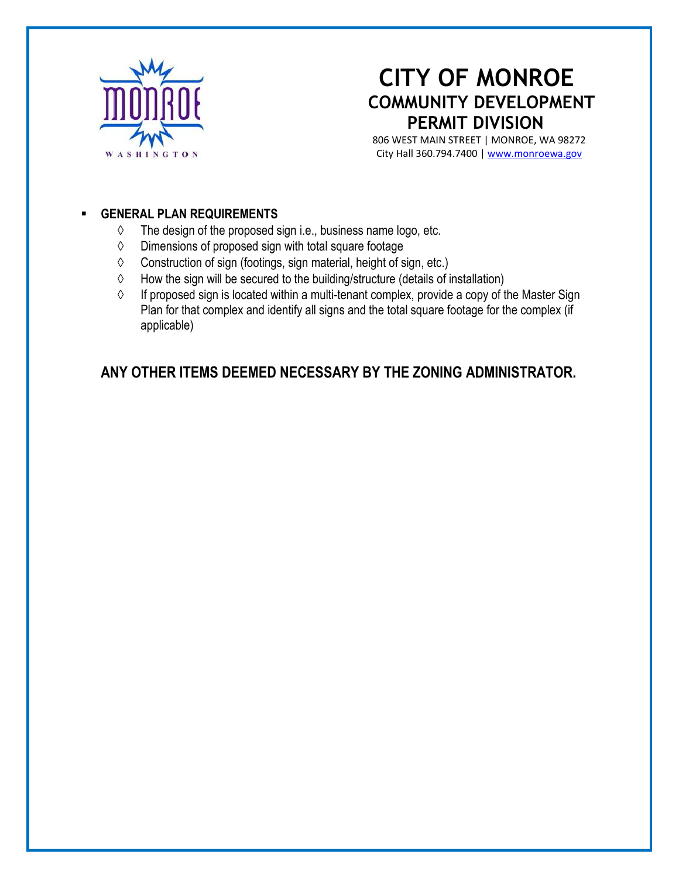

# **CITY OF MONROE COMMUNITY DEVELOPMENT PERMIT DIVISION**

 806 WEST MAIN STREET | MONROE, WA 98272 WASHINGTON CHECK CITY Hall 360.794.7400 | <u>[www.monroewa.gov](http://www.monroewa.gov/)</u>

#### **GENERAL PLAN REQUIREMENTS**

- $\Diamond$  The design of the proposed sign i.e., business name logo, etc.
- ◊ Dimensions of proposed sign with total square footage
- ◊ Construction of sign (footings, sign material, height of sign, etc.)
- ◊ How the sign will be secured to the building/structure (details of installation)
- ◊ If proposed sign is located within a multi-tenant complex, provide a copy of the Master Sign Plan for that complex and identify all signs and the total square footage for the complex (if applicable)

### **ANY OTHER ITEMS DEEMED NECESSARY BY THE ZONING ADMINISTRATOR.**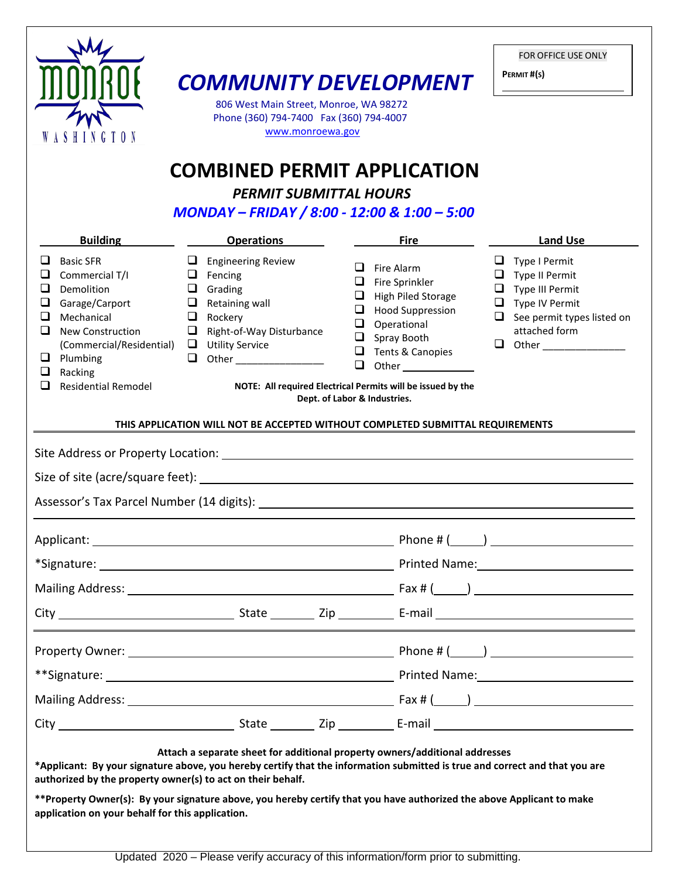|                                                                                                                                                                                                                                                        | <b>COMMUNITY DEVELOPMENT</b><br>806 West Main Street, Monroe, WA 98272<br>Phone (360) 794-7400 Fax (360) 794-4007<br>www.monroewa.gov<br><b>COMBINED PERMIT APPLICATION</b><br><b>PERMIT SUBMITTAL HOURS</b>                                                                                                                        |                                                                                                                                                                                                                                                                                                       | FOR OFFICE USE ONLY<br>PERMIT#(S)                                                                                                 |
|--------------------------------------------------------------------------------------------------------------------------------------------------------------------------------------------------------------------------------------------------------|-------------------------------------------------------------------------------------------------------------------------------------------------------------------------------------------------------------------------------------------------------------------------------------------------------------------------------------|-------------------------------------------------------------------------------------------------------------------------------------------------------------------------------------------------------------------------------------------------------------------------------------------------------|-----------------------------------------------------------------------------------------------------------------------------------|
|                                                                                                                                                                                                                                                        | MONDAY - FRIDAY / 8:00 - 12:00 & 1:00 - 5:00                                                                                                                                                                                                                                                                                        |                                                                                                                                                                                                                                                                                                       |                                                                                                                                   |
| <b>Building</b>                                                                                                                                                                                                                                        | <b>Operations</b>                                                                                                                                                                                                                                                                                                                   | <b>Fire</b>                                                                                                                                                                                                                                                                                           | <b>Land Use</b>                                                                                                                   |
| <b>Basic SFR</b><br>Commercial T/I<br>⊔<br>Demolition<br>Garage/Carport<br>❏<br>Mechanical<br>⊔.<br>$\Box$<br><b>New Construction</b><br>(Commercial/Residential) □ Utility Service<br>$\Box$ Plumbing<br>$\Box$ Racking<br><b>Residential Remodel</b> | $\Box$ Engineering Review<br>$\Box$ Fencing<br>$\Box$ Grading<br>$\Box$ Retaining wall<br>$\Box$ Rockery<br>$\Box$ Right-of-Way Disturbance<br>□<br>Other __________________                                                                                                                                                        | Fire Alarm<br>Fire Sprinkler<br>u<br>High Piled Storage<br>u<br><b>Hood Suppression</b><br>u<br>Operational<br>u<br>Spray Booth<br>u<br>$\Box$<br>Tents & Canopies<br>$\Box$<br><b>Other Community</b><br>NOTE: All required Electrical Permits will be issued by the<br>Dept. of Labor & Industries. | Type I Permit<br>Type II Permit<br>Type III Permit<br>$\Box$ Type IV Permit<br>$\Box$ See permit types listed on<br>attached form |
|                                                                                                                                                                                                                                                        | THIS APPLICATION WILL NOT BE ACCEPTED WITHOUT COMPLETED SUBMITTAL REQUIREMENTS                                                                                                                                                                                                                                                      |                                                                                                                                                                                                                                                                                                       |                                                                                                                                   |
|                                                                                                                                                                                                                                                        |                                                                                                                                                                                                                                                                                                                                     |                                                                                                                                                                                                                                                                                                       |                                                                                                                                   |
|                                                                                                                                                                                                                                                        |                                                                                                                                                                                                                                                                                                                                     |                                                                                                                                                                                                                                                                                                       |                                                                                                                                   |
|                                                                                                                                                                                                                                                        |                                                                                                                                                                                                                                                                                                                                     |                                                                                                                                                                                                                                                                                                       |                                                                                                                                   |
|                                                                                                                                                                                                                                                        |                                                                                                                                                                                                                                                                                                                                     |                                                                                                                                                                                                                                                                                                       |                                                                                                                                   |
|                                                                                                                                                                                                                                                        |                                                                                                                                                                                                                                                                                                                                     |                                                                                                                                                                                                                                                                                                       |                                                                                                                                   |
|                                                                                                                                                                                                                                                        |                                                                                                                                                                                                                                                                                                                                     |                                                                                                                                                                                                                                                                                                       |                                                                                                                                   |
|                                                                                                                                                                                                                                                        |                                                                                                                                                                                                                                                                                                                                     |                                                                                                                                                                                                                                                                                                       |                                                                                                                                   |
|                                                                                                                                                                                                                                                        |                                                                                                                                                                                                                                                                                                                                     |                                                                                                                                                                                                                                                                                                       |                                                                                                                                   |
|                                                                                                                                                                                                                                                        |                                                                                                                                                                                                                                                                                                                                     |                                                                                                                                                                                                                                                                                                       |                                                                                                                                   |
|                                                                                                                                                                                                                                                        |                                                                                                                                                                                                                                                                                                                                     |                                                                                                                                                                                                                                                                                                       |                                                                                                                                   |
|                                                                                                                                                                                                                                                        |                                                                                                                                                                                                                                                                                                                                     |                                                                                                                                                                                                                                                                                                       |                                                                                                                                   |
|                                                                                                                                                                                                                                                        |                                                                                                                                                                                                                                                                                                                                     |                                                                                                                                                                                                                                                                                                       |                                                                                                                                   |
| authorized by the property owner(s) to act on their behalf.<br>application on your behalf for this application.                                                                                                                                        | Attach a separate sheet for additional property owners/additional addresses<br>*Applicant: By your signature above, you hereby certify that the information submitted is true and correct and that you are<br>**Property Owner(s): By your signature above, you hereby certify that you have authorized the above Applicant to make |                                                                                                                                                                                                                                                                                                       |                                                                                                                                   |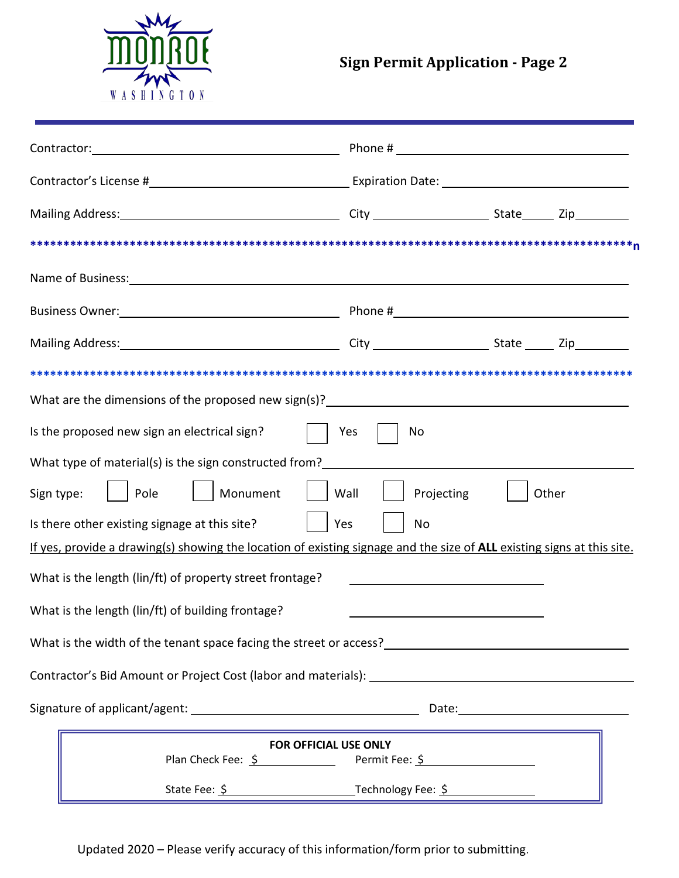

|                                                                                                                                                                                                                                | Phone # $\frac{1}{2}$ $\frac{1}{2}$ $\frac{1}{2}$ $\frac{1}{2}$ $\frac{1}{2}$ $\frac{1}{2}$ $\frac{1}{2}$ $\frac{1}{2}$ $\frac{1}{2}$ $\frac{1}{2}$ $\frac{1}{2}$ $\frac{1}{2}$ $\frac{1}{2}$ $\frac{1}{2}$ $\frac{1}{2}$ $\frac{1}{2}$ $\frac{1}{2}$ $\frac{1}{2}$ $\frac{1}{2}$ $\frac{1}{2}$ $\frac{1}{2}$ $\frac$ |       |
|--------------------------------------------------------------------------------------------------------------------------------------------------------------------------------------------------------------------------------|-----------------------------------------------------------------------------------------------------------------------------------------------------------------------------------------------------------------------------------------------------------------------------------------------------------------------|-------|
|                                                                                                                                                                                                                                |                                                                                                                                                                                                                                                                                                                       |       |
| Mailing Address: 1992 and 2010 City City City 2010 State 2ip 2ip 21.                                                                                                                                                           |                                                                                                                                                                                                                                                                                                                       |       |
|                                                                                                                                                                                                                                |                                                                                                                                                                                                                                                                                                                       |       |
| Name of Business: Name of Business: Name of Business: Name of Business: Name of Business: Name of Business: Name of Business: Name of Business: Name of Business: Name of Business: Name of Business: Name of Business: Name o |                                                                                                                                                                                                                                                                                                                       |       |
| Business Owner: 1990 March 2010 March 2010 March 2010 March 2010 March 2010 March 2010 March 2010 March 2010 M                                                                                                                 |                                                                                                                                                                                                                                                                                                                       |       |
| Mailing Address: Mailing Address: Mailing Address: Mailing Address: Mailing Address: Mailing Address: Mailing A                                                                                                                |                                                                                                                                                                                                                                                                                                                       |       |
|                                                                                                                                                                                                                                |                                                                                                                                                                                                                                                                                                                       |       |
| What are the dimensions of the proposed new sign(s)? ____________________________                                                                                                                                              |                                                                                                                                                                                                                                                                                                                       |       |
| Is the proposed new sign an electrical sign?                                                                                                                                                                                   | Yes<br>No                                                                                                                                                                                                                                                                                                             |       |
|                                                                                                                                                                                                                                |                                                                                                                                                                                                                                                                                                                       |       |
| $\vert$   Pole<br>    Monument     Wall<br>Sign type:                                                                                                                                                                          | Projecting                                                                                                                                                                                                                                                                                                            | Other |
| Is there other existing signage at this site?                                                                                                                                                                                  | Yes<br>No                                                                                                                                                                                                                                                                                                             |       |
| If yes, provide a drawing(s) showing the location of existing signage and the size of ALL existing signs at this site.                                                                                                         |                                                                                                                                                                                                                                                                                                                       |       |
| What is the length (lin/ft) of property street frontage?                                                                                                                                                                       |                                                                                                                                                                                                                                                                                                                       |       |
| What is the length (lin/ft) of building frontage?                                                                                                                                                                              |                                                                                                                                                                                                                                                                                                                       |       |
|                                                                                                                                                                                                                                |                                                                                                                                                                                                                                                                                                                       |       |
|                                                                                                                                                                                                                                |                                                                                                                                                                                                                                                                                                                       |       |
|                                                                                                                                                                                                                                |                                                                                                                                                                                                                                                                                                                       |       |
|                                                                                                                                                                                                                                | FOR OFFICIAL USE ONLY                                                                                                                                                                                                                                                                                                 |       |
| Plan Check Fee: \$                                                                                                                                                                                                             | Permit Fee: \$                                                                                                                                                                                                                                                                                                        |       |
|                                                                                                                                                                                                                                |                                                                                                                                                                                                                                                                                                                       |       |